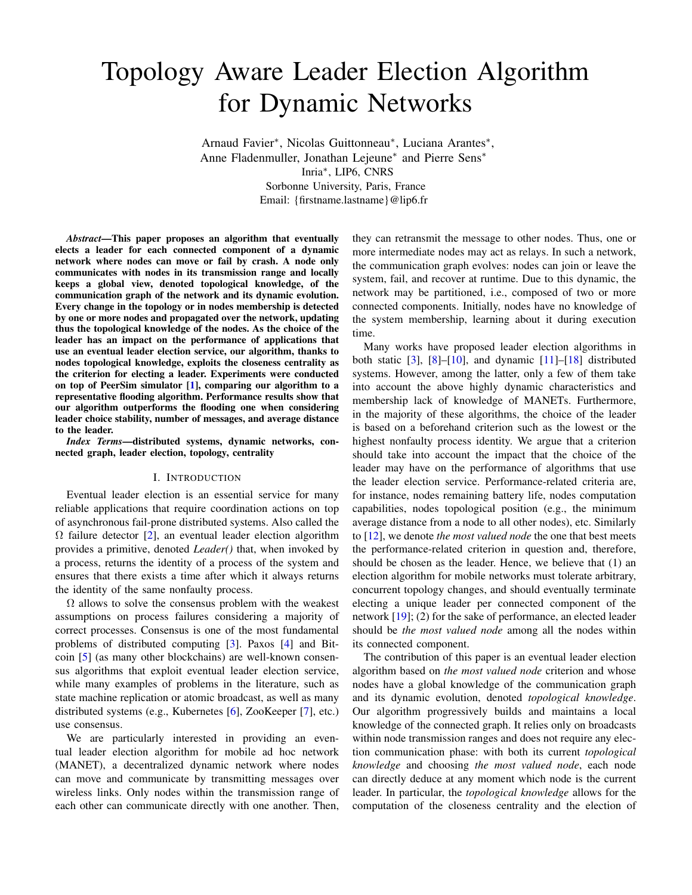# Topology Aware Leader Election Algorithm for Dynamic Networks

Arnaud Favier<sup>∗</sup> , Nicolas Guittonneau<sup>∗</sup> , Luciana Arantes<sup>∗</sup> , Anne Fladenmuller, Jonathan Lejeune<sup>∗</sup> and Pierre Sens<sup>∗</sup> Inria<sup>∗</sup> , LIP6, CNRS Sorbonne University, Paris, France Email: {firstname.lastname}@lip6.fr

*Abstract*—This paper proposes an algorithm that eventually elects a leader for each connected component of a dynamic network where nodes can move or fail by crash. A node only communicates with nodes in its transmission range and locally keeps a global view, denoted topological knowledge, of the communication graph of the network and its dynamic evolution. Every change in the topology or in nodes membership is detected by one or more nodes and propagated over the network, updating thus the topological knowledge of the nodes. As the choice of the leader has an impact on the performance of applications that use an eventual leader election service, our algorithm, thanks to nodes topological knowledge, exploits the closeness centrality as the criterion for electing a leader. Experiments were conducted on top of PeerSim simulator [\[1\]](#page-9-0), comparing our algorithm to a representative flooding algorithm. Performance results show that our algorithm outperforms the flooding one when considering leader choice stability, number of messages, and average distance to the leader.

*Index Terms*—distributed systems, dynamic networks, connected graph, leader election, topology, centrality

#### I. INTRODUCTION

Eventual leader election is an essential service for many reliable applications that require coordination actions on top of asynchronous fail-prone distributed systems. Also called the  $\Omega$  failure detector [\[2\]](#page-9-1), an eventual leader election algorithm provides a primitive, denoted *Leader()* that, when invoked by a process, returns the identity of a process of the system and ensures that there exists a time after which it always returns the identity of the same nonfaulty process.

 $\Omega$  allows to solve the consensus problem with the weakest assumptions on process failures considering a majority of correct processes. Consensus is one of the most fundamental problems of distributed computing [\[3\]](#page-9-2). Paxos [\[4\]](#page-9-3) and Bitcoin [\[5\]](#page-9-4) (as many other blockchains) are well-known consensus algorithms that exploit eventual leader election service, while many examples of problems in the literature, such as state machine replication or atomic broadcast, as well as many distributed systems (e.g., Kubernetes [\[6\]](#page-9-5), ZooKeeper [\[7\]](#page-9-6), etc.) use consensus.

We are particularly interested in providing an eventual leader election algorithm for mobile ad hoc network (MANET), a decentralized dynamic network where nodes can move and communicate by transmitting messages over wireless links. Only nodes within the transmission range of each other can communicate directly with one another. Then, they can retransmit the message to other nodes. Thus, one or more intermediate nodes may act as relays. In such a network, the communication graph evolves: nodes can join or leave the system, fail, and recover at runtime. Due to this dynamic, the network may be partitioned, i.e., composed of two or more connected components. Initially, nodes have no knowledge of the system membership, learning about it during execution time.

Many works have proposed leader election algorithms in both static  $[3]$ ,  $[8]$ – $[10]$ , and dynamic  $[11]$ – $[18]$  distributed systems. However, among the latter, only a few of them take into account the above highly dynamic characteristics and membership lack of knowledge of MANETs. Furthermore, in the majority of these algorithms, the choice of the leader is based on a beforehand criterion such as the lowest or the highest nonfaulty process identity. We argue that a criterion should take into account the impact that the choice of the leader may have on the performance of algorithms that use the leader election service. Performance-related criteria are, for instance, nodes remaining battery life, nodes computation capabilities, nodes topological position (e.g., the minimum average distance from a node to all other nodes), etc. Similarly to [\[12\]](#page-9-11), we denote *the most valued node* the one that best meets the performance-related criterion in question and, therefore, should be chosen as the leader. Hence, we believe that (1) an election algorithm for mobile networks must tolerate arbitrary, concurrent topology changes, and should eventually terminate electing a unique leader per connected component of the network [\[19\]](#page-9-12); (2) for the sake of performance, an elected leader should be *the most valued node* among all the nodes within its connected component.

The contribution of this paper is an eventual leader election algorithm based on *the most valued node* criterion and whose nodes have a global knowledge of the communication graph and its dynamic evolution, denoted *topological knowledge*. Our algorithm progressively builds and maintains a local knowledge of the connected graph. It relies only on broadcasts within node transmission ranges and does not require any election communication phase: with both its current *topological knowledge* and choosing *the most valued node*, each node can directly deduce at any moment which node is the current leader. In particular, the *topological knowledge* allows for the computation of the closeness centrality and the election of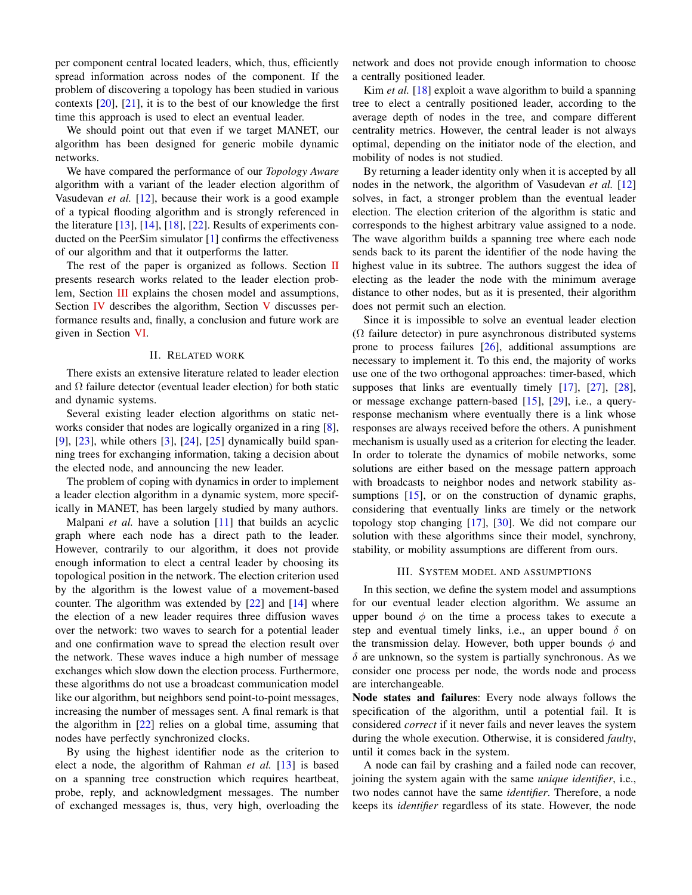per component central located leaders, which, thus, efficiently spread information across nodes of the component. If the problem of discovering a topology has been studied in various contexts [\[20\]](#page-9-13), [\[21\]](#page-9-14), it is to the best of our knowledge the first time this approach is used to elect an eventual leader.

We should point out that even if we target MANET, our algorithm has been designed for generic mobile dynamic networks.

We have compared the performance of our *Topology Aware* algorithm with a variant of the leader election algorithm of Vasudevan *et al.* [\[12\]](#page-9-11), because their work is a good example of a typical flooding algorithm and is strongly referenced in the literature [\[13\]](#page-9-15), [\[14\]](#page-9-16), [\[18\]](#page-9-10), [\[22\]](#page-9-17). Results of experiments conducted on the PeerSim simulator [\[1\]](#page-9-0) confirms the effectiveness of our algorithm and that it outperforms the latter.

The rest of the paper is organized as follows. Section [II](#page-1-0) presents research works related to the leader election problem, Section [III](#page-1-1) explains the chosen model and assumptions, Section [IV](#page-2-0) describes the algorithm, Section [V](#page-4-0) discusses performance results and, finally, a conclusion and future work are given in Section [VI.](#page-9-18)

#### II. RELATED WORK

<span id="page-1-0"></span>There exists an extensive literature related to leader election and  $\Omega$  failure detector (eventual leader election) for both static and dynamic systems.

Several existing leader election algorithms on static networks consider that nodes are logically organized in a ring [\[8\]](#page-9-7), [\[9\]](#page-9-19), [\[23\]](#page-9-20), while others [\[3\]](#page-9-2), [\[24\]](#page-9-21), [\[25\]](#page-9-22) dynamically build spanning trees for exchanging information, taking a decision about the elected node, and announcing the new leader.

The problem of coping with dynamics in order to implement a leader election algorithm in a dynamic system, more specifically in MANET, has been largely studied by many authors.

Malpani *et al.* have a solution [\[11\]](#page-9-9) that builds an acyclic graph where each node has a direct path to the leader. However, contrarily to our algorithm, it does not provide enough information to elect a central leader by choosing its topological position in the network. The election criterion used by the algorithm is the lowest value of a movement-based counter. The algorithm was extended by [\[22\]](#page-9-17) and [\[14\]](#page-9-16) where the election of a new leader requires three diffusion waves over the network: two waves to search for a potential leader and one confirmation wave to spread the election result over the network. These waves induce a high number of message exchanges which slow down the election process. Furthermore, these algorithms do not use a broadcast communication model like our algorithm, but neighbors send point-to-point messages, increasing the number of messages sent. A final remark is that the algorithm in [\[22\]](#page-9-17) relies on a global time, assuming that nodes have perfectly synchronized clocks.

By using the highest identifier node as the criterion to elect a node, the algorithm of Rahman *et al.* [\[13\]](#page-9-15) is based on a spanning tree construction which requires heartbeat, probe, reply, and acknowledgment messages. The number of exchanged messages is, thus, very high, overloading the

network and does not provide enough information to choose a centrally positioned leader.

Kim *et al.* [\[18\]](#page-9-10) exploit a wave algorithm to build a spanning tree to elect a centrally positioned leader, according to the average depth of nodes in the tree, and compare different centrality metrics. However, the central leader is not always optimal, depending on the initiator node of the election, and mobility of nodes is not studied.

By returning a leader identity only when it is accepted by all nodes in the network, the algorithm of Vasudevan *et al.* [\[12\]](#page-9-11) solves, in fact, a stronger problem than the eventual leader election. The election criterion of the algorithm is static and corresponds to the highest arbitrary value assigned to a node. The wave algorithm builds a spanning tree where each node sends back to its parent the identifier of the node having the highest value in its subtree. The authors suggest the idea of electing as the leader the node with the minimum average distance to other nodes, but as it is presented, their algorithm does not permit such an election.

Since it is impossible to solve an eventual leader election  $(\Omega)$  failure detector) in pure asynchronous distributed systems prone to process failures [\[26\]](#page-9-23), additional assumptions are necessary to implement it. To this end, the majority of works use one of the two orthogonal approaches: timer-based, which supposes that links are eventually timely [\[17\]](#page-9-24), [\[27\]](#page-9-25), [\[28\]](#page-9-26), or message exchange pattern-based [\[15\]](#page-9-27), [\[29\]](#page-9-28), i.e., a queryresponse mechanism where eventually there is a link whose responses are always received before the others. A punishment mechanism is usually used as a criterion for electing the leader. In order to tolerate the dynamics of mobile networks, some solutions are either based on the message pattern approach with broadcasts to neighbor nodes and network stability as-sumptions [\[15\]](#page-9-27), or on the construction of dynamic graphs, considering that eventually links are timely or the network topology stop changing [\[17\]](#page-9-24), [\[30\]](#page-9-29). We did not compare our solution with these algorithms since their model, synchrony, stability, or mobility assumptions are different from ours.

#### III. SYSTEM MODEL AND ASSUMPTIONS

<span id="page-1-1"></span>In this section, we define the system model and assumptions for our eventual leader election algorithm. We assume an upper bound  $\phi$  on the time a process takes to execute a step and eventual timely links, i.e., an upper bound  $\delta$  on the transmission delay. However, both upper bounds  $\phi$  and  $\delta$  are unknown, so the system is partially synchronous. As we consider one process per node, the words node and process are interchangeable.

Node states and failures: Every node always follows the specification of the algorithm, until a potential fail. It is considered *correct* if it never fails and never leaves the system during the whole execution. Otherwise, it is considered *faulty*, until it comes back in the system.

A node can fail by crashing and a failed node can recover, joining the system again with the same *unique identifier*, i.e., two nodes cannot have the same *identifier*. Therefore, a node keeps its *identifier* regardless of its state. However, the node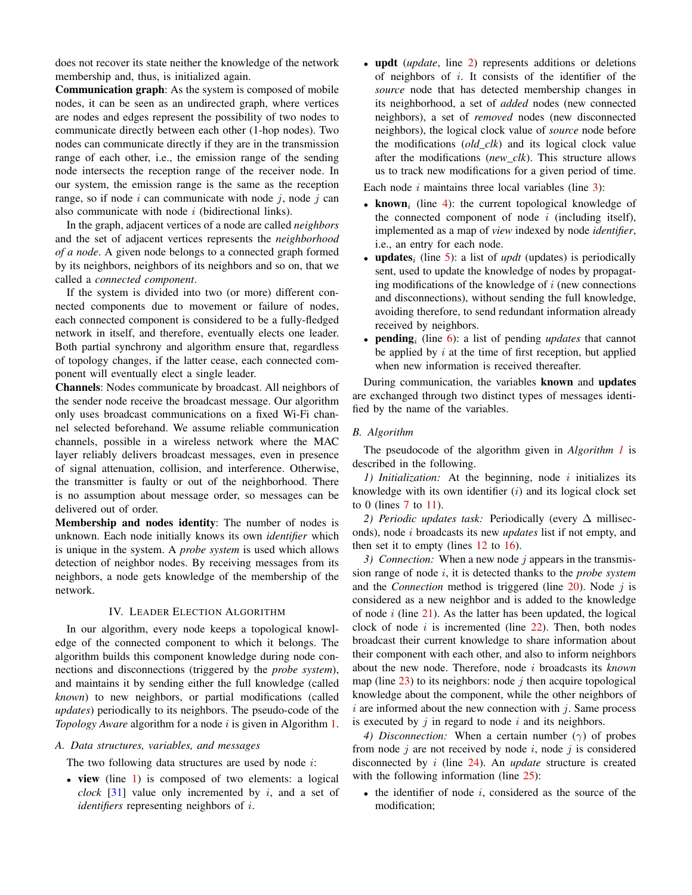does not recover its state neither the knowledge of the network membership and, thus, is initialized again.

Communication graph: As the system is composed of mobile nodes, it can be seen as an undirected graph, where vertices are nodes and edges represent the possibility of two nodes to communicate directly between each other (1-hop nodes). Two nodes can communicate directly if they are in the transmission range of each other, i.e., the emission range of the sending node intersects the reception range of the receiver node. In our system, the emission range is the same as the reception range, so if node  $i$  can communicate with node  $j$ , node  $j$  can also communicate with node  $i$  (bidirectional links).

In the graph, adjacent vertices of a node are called *neighbors* and the set of adjacent vertices represents the *neighborhood of a node*. A given node belongs to a connected graph formed by its neighbors, neighbors of its neighbors and so on, that we called a *connected component*.

If the system is divided into two (or more) different connected components due to movement or failure of nodes, each connected component is considered to be a fully-fledged network in itself, and therefore, eventually elects one leader. Both partial synchrony and algorithm ensure that, regardless of topology changes, if the latter cease, each connected component will eventually elect a single leader.

Channels: Nodes communicate by broadcast. All neighbors of the sender node receive the broadcast message. Our algorithm only uses broadcast communications on a fixed Wi-Fi channel selected beforehand. We assume reliable communication channels, possible in a wireless network where the MAC layer reliably delivers broadcast messages, even in presence of signal attenuation, collision, and interference. Otherwise, the transmitter is faulty or out of the neighborhood. There is no assumption about message order, so messages can be delivered out of order.

Membership and nodes identity: The number of nodes is unknown. Each node initially knows its own *identifier* which is unique in the system. A *probe system* is used which allows detection of neighbor nodes. By receiving messages from its neighbors, a node gets knowledge of the membership of the network.

## IV. LEADER ELECTION ALGORITHM

<span id="page-2-0"></span>In our algorithm, every node keeps a topological knowledge of the connected component to which it belongs. The algorithm builds this component knowledge during node connections and disconnections (triggered by the *probe system*), and maintains it by sending either the full knowledge (called *known*) to new neighbors, or partial modifications (called *updates*) periodically to its neighbors. The pseudo-code of the *Topology Aware* algorithm for a node *i* is given in Algorithm [1.](#page-2-1)

## *A. Data structures, variables, and messages*

The two following data structures are used by node  $i$ :

• view (line [1\)](#page-3-0) is composed of two elements: a logical *clock* [\[31\]](#page-9-30) value only incremented by  $i$ , and a set of *identifiers* representing neighbors of i.

• updt (*update*, line [2\)](#page-3-1) represents additions or deletions of neighbors of  $i$ . It consists of the identifier of the *source* node that has detected membership changes in its neighborhood, a set of *added* nodes (new connected neighbors), a set of *removed* nodes (new disconnected neighbors), the logical clock value of *source* node before the modifications (*old\_clk*) and its logical clock value after the modifications (*new\_clk*). This structure allows us to track new modifications for a given period of time.

Each node  $i$  maintains three local variables (line [3\)](#page-3-2):

- known<sub>i</sub> (line [4\)](#page-3-3): the current topological knowledge of the connected component of node  $i$  (including itself), implemented as a map of *view* indexed by node *identifier*, i.e., an entry for each node.
- **updates**<sub>i</sub> (line [5\)](#page-3-4): a list of *updt* (updates) is periodically sent, used to update the knowledge of nodes by propagating modifications of the knowledge of  $i$  (new connections and disconnections), without sending the full knowledge, avoiding therefore, to send redundant information already received by neighbors.
- **pending**<sub>i</sub> (line  $\overline{6}$ ): a list of pending *updates* that cannot be applied by  $i$  at the time of first reception, but applied when new information is received thereafter.

During communication, the variables known and updates are exchanged through two distinct types of messages identified by the name of the variables.

#### *B. Algorithm*

<span id="page-2-1"></span>The pseudocode of the algorithm given in *Algorithm [1](#page-2-1)* is described in the following.

*1) Initialization:* At the beginning, node i initializes its knowledge with its own identifier  $(i)$  and its logical clock set to 0 (lines  $7$  to [11\)](#page-3-7).

2) *Periodic updates task:* Periodically (every ∆ milliseconds), node i broadcasts its new *updates* list if not empty, and then set it to empty (lines [12](#page-3-8) to [16\)](#page-3-9).

3) Connection: When a new node j appears in the transmission range of node i, it is detected thanks to the *probe system* and the *Connection* method is triggered (line  $20$ ). Node  $j$  is considered as a new neighbor and is added to the knowledge of node  $i$  (line [21\)](#page-3-11). As the latter has been updated, the logical clock of node  $i$  is incremented (line [22\)](#page-3-12). Then, both nodes broadcast their current knowledge to share information about their component with each other, and also to inform neighbors about the new node. Therefore, node i broadcasts its *known* map (line  $(23)$  $(23)$  to its neighbors: node j then acquire topological knowledge about the component, while the other neighbors of  $i$  are informed about the new connection with  $j$ . Same process is executed by  $j$  in regard to node  $i$  and its neighbors.

*4) Disconnection:* When a certain number  $(\gamma)$  of probes from node  $i$  are not received by node  $i$ , node  $j$  is considered disconnected by i (line [24\)](#page-3-14). An *update* structure is created with the following information (line [25\)](#page-3-15):

 $\bullet$  the identifier of node i, considered as the source of the modification;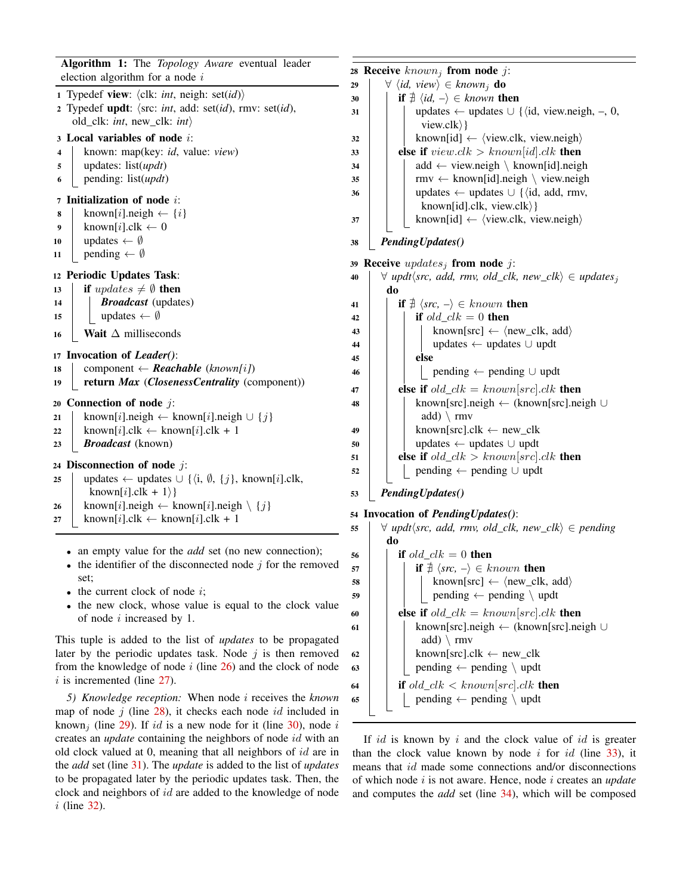<span id="page-3-8"></span><span id="page-3-7"></span><span id="page-3-6"></span><span id="page-3-5"></span><span id="page-3-4"></span><span id="page-3-3"></span><span id="page-3-2"></span><span id="page-3-1"></span><span id="page-3-0"></span>Algorithm 1: The *Topology Aware* eventual leader election algorithm for a node  $i$ 1 Typedef view:  $\langle$ clk: *int*, neigh: set(*id*)) 2 Typedef updt:  $\langle \text{src: } int, \text{ add: } \text{set}(id), \text{rmv: } \text{set}(id),$ old\_clk: *int*, new\_clk: *int* $\rangle$ <sup>3</sup> Local variables of node i: <sup>4</sup> known: map(key: *id*, value: *view*) <sup>5</sup> updates: list(*updt*) <sup>6</sup> pending: list(*updt*) <sup>7</sup> Initialization of node i: 8 | known[i].neigh  $\leftarrow \{i\}$ 9 | known $[i]$ .clk  $\leftarrow$  0 10 | updates  $\leftarrow \emptyset$ 11 | pending  $\leftarrow \emptyset$ <sup>12</sup> Periodic Updates Task: 13 **if** updates  $\neq \emptyset$  then <sup>14</sup> *Broadcast* (updates) 15 | updates  $\leftarrow \emptyset$ 16 Wait  $\Delta$  milliseconds <sup>17</sup> Invocation of *Leader()*: 18 component  $\leftarrow$  *Reachable* (*known[i]*) <sup>19</sup> return *Max* (*ClosenessCentrality* (component)) 20 Connection of node  $j$ : 21 known[i].neigh ← known[i].neigh  $\cup$  {j} 22 known[i].clk  $\leftarrow$  known[i].clk + 1 <sup>23</sup> *Broadcast* (known) 24 Disconnection of node  $i$ : 25 | updates ← updates  $\cup$  { $\langle i, \emptyset, \{j\}, \text{known}[i].\text{clk}, \rangle$ known[i].clk + 1 $\rangle$ } 26 known[i].neigh  $\leftarrow$  known[i].neigh  $\setminus \{j\}$  $27$  known[i].clk ← known[i].clk + 1

- <span id="page-3-56"></span><span id="page-3-55"></span><span id="page-3-54"></span><span id="page-3-17"></span><span id="page-3-16"></span><span id="page-3-15"></span><span id="page-3-14"></span><span id="page-3-13"></span><span id="page-3-12"></span><span id="page-3-11"></span><span id="page-3-10"></span><span id="page-3-9"></span>• an empty value for the *add* set (no new connection);
- $\bullet$  the identifier of the disconnected node  $i$  for the removed set;
- $\bullet$  the current clock of node  $i$ ;
- the new clock, whose value is equal to the clock value of node i increased by 1.

This tuple is added to the list of *updates* to be propagated later by the periodic updates task. Node  $j$  is then removed from the knowledge of node  $i$  (line  $26$ ) and the clock of node  $i$  is incremented (line [27\)](#page-3-17).

<span id="page-3-32"></span>*5) Knowledge reception:* When node i receives the *known* map of node  $j$  (line [28\)](#page-3-18), it checks each node id included in known<sub>i</sub> (line [29\)](#page-3-19). If id is a new node for it (line [30\)](#page-3-20), node i creates an *update* containing the neighbors of node id with an old clock valued at 0, meaning that all neighbors of id are in the *add* set (line [31\)](#page-3-21). The *update* is added to the list of *updates* to be propagated later by the periodic updates task. Then, the clock and neighbors of id are added to the knowledge of node i (line [32\)](#page-3-22).

<span id="page-3-42"></span><span id="page-3-41"></span><span id="page-3-38"></span><span id="page-3-36"></span><span id="page-3-35"></span><span id="page-3-34"></span><span id="page-3-33"></span><span id="page-3-31"></span><span id="page-3-30"></span><span id="page-3-29"></span><span id="page-3-28"></span><span id="page-3-27"></span><span id="page-3-26"></span><span id="page-3-25"></span><span id="page-3-24"></span><span id="page-3-23"></span><span id="page-3-22"></span><span id="page-3-21"></span><span id="page-3-20"></span><span id="page-3-19"></span><span id="page-3-18"></span>28 Receive  $known_i$  from node  $i$ :  $\forall \langle id, \text{view} \rangle \in \text{known}_i \textbf{ do}$ **if**  $\exists$   $\langle id, - \rangle \in$  *known* then 31 | | updates ← updates  $\cup$  { $\langle$ id, view.neigh, –, 0, view.clk $\rangle$ } known[id]  $\leftarrow$   $\langle$  view.clk, view.neigh $\rangle$ 33 else if  $viewclk > known [id].clk$  then | | add ← view.neigh \ known[id].neigh rmv ← known[id].neigh \ view.neigh | | updates ← updates  $\cup$  { $\langle$ id, add, rmv, known[id].clk, view.clk $\rangle$ } | | known[id]  $\leftarrow$  {view.clk, view.neigh} *PendingUpdates()* 39 Receive updates; from node j:  $\forall$  *updt* $\langle src, add, rmv, old_clk, new_clk \rangle \in updates_i$ do **if**  $\sharp$   $\langle src, - \rangle \in known$  then **if**  $old\_clk = 0$  then known[src]  $\leftarrow$   $\langle$  new\_clk, add $\rangle$  | | | updates ← updates ∪ updt  $45$  else 46 | | | pending ← pending ∪ updt **else if**  $old\_clk = known[src].clk$  then known[src].neigh ← (known[src].neigh ∪ add)  $\langle$  rmv 49 | known[src].clk  $\leftarrow$  new\_clk updates ← updates ∪ updt **else if** old  $clk > known[src].clk$  then | pending ← pending ∪ updt *PendingUpdates()* Invocation of *PendingUpdates()*:  $\forall$  *updt* $\langle$ *src, add, rmv, old\_clk, new\_clk* $\rangle \in$  *pending* do **i** if old  $clk = 0$  then **if**  $\exists$   $\langle src, - \rangle \in known$  then  $\sim$  58 known[src] ←  $\langle$ new\_clk, add $\rangle$  | | | pending  $\leftarrow$  pending  $\setminus$  updt **else if**  $old\_clk = known[src].clk$  then known[src].neigh ← (known[src].neigh ∪ add)  $\langle$  rmv 62 | known[src].clk  $\leftarrow$  new\_clk 63 | | pending  $\leftarrow$  pending  $\setminus$  updt **if** old\_clk  $\lt$  known[src].clk **then** 65 | | pending  $\leftarrow$  pending  $\setminus$  updt

<span id="page-3-53"></span><span id="page-3-52"></span><span id="page-3-51"></span><span id="page-3-50"></span><span id="page-3-49"></span><span id="page-3-48"></span><span id="page-3-47"></span><span id="page-3-46"></span><span id="page-3-45"></span><span id="page-3-44"></span><span id="page-3-43"></span><span id="page-3-40"></span><span id="page-3-39"></span><span id="page-3-37"></span>If id is known by i and the clock value of id is greater than the clock value known by node  $i$  for  $id$  (line [33\)](#page-3-23), it means that id made some connections and/or disconnections of which node i is not aware. Hence, node i creates an *update* and computes the *add* set (line [34\)](#page-3-24), which will be composed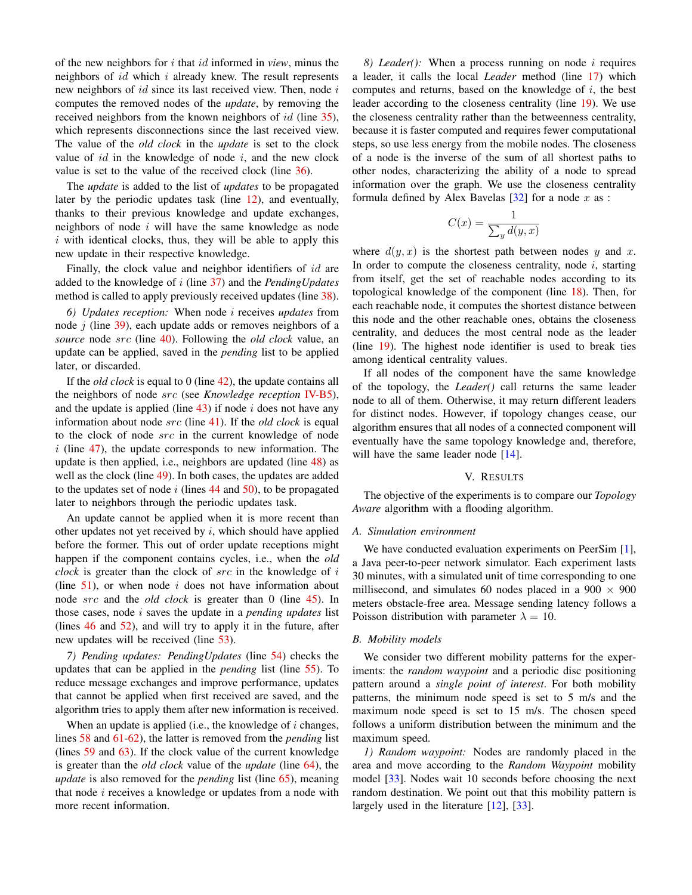of the new neighbors for i that id informed in *view*, minus the neighbors of  $id$  which  $i$  already knew. The result represents new neighbors of  $id$  since its last received view. Then, node  $i$ computes the removed nodes of the *update*, by removing the received neighbors from the known neighbors of id (line [35\)](#page-3-25), which represents disconnections since the last received view. The value of the *old clock* in the *update* is set to the clock value of  $id$  in the knowledge of node  $i$ , and the new clock value is set to the value of the received clock (line [36\)](#page-3-26).

The *update* is added to the list of *updates* to be propagated later by the periodic updates task (line [12\)](#page-3-8), and eventually, thanks to their previous knowledge and update exchanges, neighbors of node  $i$  will have the same knowledge as node  $i$  with identical clocks, thus, they will be able to apply this new update in their respective knowledge.

Finally, the clock value and neighbor identifiers of id are added to the knowledge of i (line [37\)](#page-3-27) and the *PendingUpdates* method is called to apply previously received updates (line [38\)](#page-3-28).

*6) Updates reception:* When node i receives *updates* from node  $i$  (line [39\)](#page-3-29), each update adds or removes neighbors of a *source* node src (line [40\)](#page-3-30). Following the *old clock* value, an update can be applied, saved in the *pending* list to be applied later, or discarded.

If the *old clock* is equal to 0 (line [42\)](#page-3-31), the update contains all the neighbors of node src (see *Knowledge reception* [IV-B5\)](#page-3-32), and the update is applied (line  $43$ ) if node i does not have any information about node src (line [41\)](#page-3-34). If the *old clock* is equal to the clock of node src in the current knowledge of node  $i$  (line [47\)](#page-3-35), the update corresponds to new information. The update is then applied, i.e., neighbors are updated (line [48\)](#page-3-36) as well as the clock (line [49\)](#page-3-37). In both cases, the updates are added to the updates set of node  $i$  (lines [44](#page-3-38) and [50\)](#page-3-39), to be propagated later to neighbors through the periodic updates task.

An update cannot be applied when it is more recent than other updates not yet received by  $i$ , which should have applied before the former. This out of order update receptions might happen if the component contains cycles, i.e., when the *old clock* is greater than the clock of src in the knowledge of i (line  $51$ ), or when node *i* does not have information about node src and the *old clock* is greater than 0 (line [45\)](#page-3-41). In those cases, node i saves the update in a *pending updates* list (lines [46](#page-3-42) and [52\)](#page-3-43), and will try to apply it in the future, after new updates will be received (line [53\)](#page-3-44).

*7) Pending updates: PendingUpdates* (line [54\)](#page-3-45) checks the updates that can be applied in the *pending* list (line [55\)](#page-3-46). To reduce message exchanges and improve performance, updates that cannot be applied when first received are saved, and the algorithm tries to apply them after new information is received.

When an update is applied (i.e., the knowledge of  $i$  changes, lines [58](#page-3-47) and [61](#page-3-48)[-62\)](#page-3-49), the latter is removed from the *pending* list (lines [59](#page-3-50) and [63\)](#page-3-51). If the clock value of the current knowledge is greater than the *old clock* value of the *update* (line [64\)](#page-3-52), the *update* is also removed for the *pending* list (line [65\)](#page-3-53), meaning that node  $i$  receives a knowledge or updates from a node with more recent information.

<span id="page-4-1"></span>*8) Leader():* When a process running on node i requires a leader, it calls the local *Leader* method (line [17\)](#page-3-54) which computes and returns, based on the knowledge of  $i$ , the best leader according to the closeness centrality (line [19\)](#page-3-55). We use the closeness centrality rather than the betweenness centrality, because it is faster computed and requires fewer computational steps, so use less energy from the mobile nodes. The closeness of a node is the inverse of the sum of all shortest paths to other nodes, characterizing the ability of a node to spread information over the graph. We use the closeness centrality formula defined by Alex Bavelas  $[32]$  for a node x as :

$$
C(x) = \frac{1}{\sum_{y} d(y, x)}
$$

where  $d(y, x)$  is the shortest path between nodes y and x. In order to compute the closeness centrality, node  $i$ , starting from itself, get the set of reachable nodes according to its topological knowledge of the component (line [18\)](#page-3-56). Then, for each reachable node, it computes the shortest distance between this node and the other reachable ones, obtains the closeness centrality, and deduces the most central node as the leader (line [19\)](#page-3-55). The highest node identifier is used to break ties among identical centrality values.

If all nodes of the component have the same knowledge of the topology, the *Leader()* call returns the same leader node to all of them. Otherwise, it may return different leaders for distinct nodes. However, if topology changes cease, our algorithm ensures that all nodes of a connected component will eventually have the same topology knowledge and, therefore, will have the same leader node [\[14\]](#page-9-16).

#### V. RESULTS

<span id="page-4-0"></span>The objective of the experiments is to compare our *Topology Aware* algorithm with a flooding algorithm.

#### *A. Simulation environment*

We have conducted evaluation experiments on PeerSim [\[1\]](#page-9-0), a Java peer-to-peer network simulator. Each experiment lasts 30 minutes, with a simulated unit of time corresponding to one millisecond, and simulates 60 nodes placed in a  $900 \times 900$ meters obstacle-free area. Message sending latency follows a Poisson distribution with parameter  $\lambda = 10$ .

#### *B. Mobility models*

We consider two different mobility patterns for the experiments: the *random waypoint* and a periodic disc positioning pattern around a *single point of interest*. For both mobility patterns, the minimum node speed is set to 5 m/s and the maximum node speed is set to 15 m/s. The chosen speed follows a uniform distribution between the minimum and the maximum speed.

*1) Random waypoint:* Nodes are randomly placed in the area and move according to the *Random Waypoint* mobility model [\[33\]](#page-9-32). Nodes wait 10 seconds before choosing the next random destination. We point out that this mobility pattern is largely used in the literature [\[12\]](#page-9-11), [\[33\]](#page-9-32).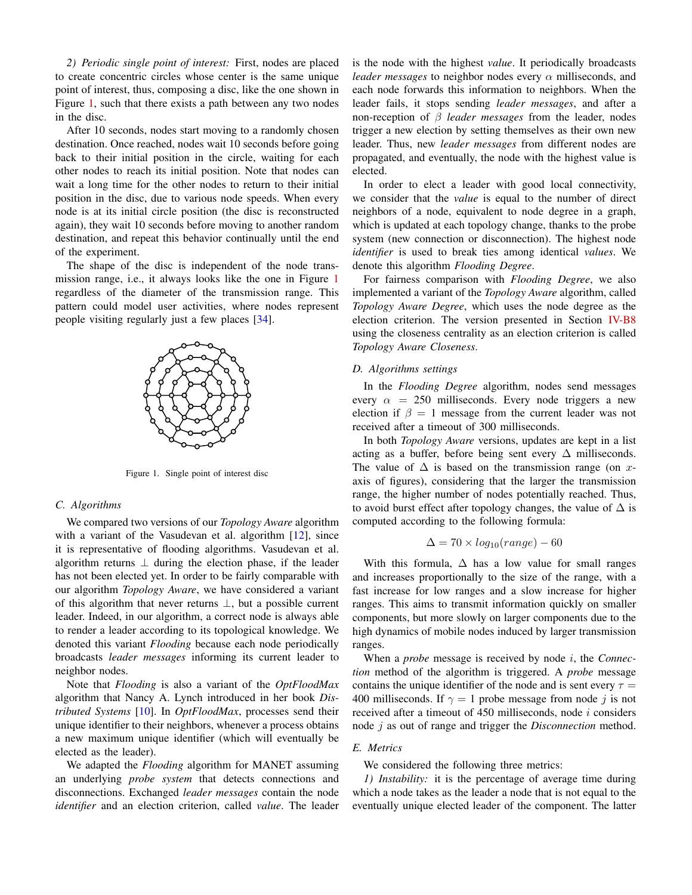*2) Periodic single point of interest:* First, nodes are placed to create concentric circles whose center is the same unique point of interest, thus, composing a disc, like the one shown in Figure [1,](#page-5-0) such that there exists a path between any two nodes in the disc.

After 10 seconds, nodes start moving to a randomly chosen destination. Once reached, nodes wait 10 seconds before going back to their initial position in the circle, waiting for each other nodes to reach its initial position. Note that nodes can wait a long time for the other nodes to return to their initial position in the disc, due to various node speeds. When every node is at its initial circle position (the disc is reconstructed again), they wait 10 seconds before moving to another random destination, and repeat this behavior continually until the end of the experiment.

The shape of the disc is independent of the node transmission range, i.e., it always looks like the one in Figure [1](#page-5-0) regardless of the diameter of the transmission range. This pattern could model user activities, where nodes represent people visiting regularly just a few places [\[34\]](#page-9-33).



<span id="page-5-0"></span>Figure 1. Single point of interest disc

#### *C. Algorithms*

We compared two versions of our *Topology Aware* algorithm with a variant of the Vasudevan et al. algorithm [\[12\]](#page-9-11), since it is representative of flooding algorithms. Vasudevan et al. algorithm returns  $\perp$  during the election phase, if the leader has not been elected yet. In order to be fairly comparable with our algorithm *Topology Aware*, we have considered a variant of this algorithm that never returns ⊥, but a possible current leader. Indeed, in our algorithm, a correct node is always able to render a leader according to its topological knowledge. We denoted this variant *Flooding* because each node periodically broadcasts *leader messages* informing its current leader to neighbor nodes.

Note that *Flooding* is also a variant of the *OptFloodMax* algorithm that Nancy A. Lynch introduced in her book *Distributed Systems* [\[10\]](#page-9-8). In *OptFloodMax*, processes send their unique identifier to their neighbors, whenever a process obtains a new maximum unique identifier (which will eventually be elected as the leader).

We adapted the *Flooding* algorithm for MANET assuming an underlying *probe system* that detects connections and disconnections. Exchanged *leader messages* contain the node *identifier* and an election criterion, called *value*. The leader

is the node with the highest *value*. It periodically broadcasts *leader messages* to neighbor nodes every α milliseconds, and each node forwards this information to neighbors. When the leader fails, it stops sending *leader messages*, and after a non-reception of β *leader messages* from the leader, nodes trigger a new election by setting themselves as their own new leader. Thus, new *leader messages* from different nodes are propagated, and eventually, the node with the highest value is elected.

In order to elect a leader with good local connectivity, we consider that the *value* is equal to the number of direct neighbors of a node, equivalent to node degree in a graph, which is updated at each topology change, thanks to the probe system (new connection or disconnection). The highest node *identifier* is used to break ties among identical *values*. We denote this algorithm *Flooding Degree*.

For fairness comparison with *Flooding Degree*, we also implemented a variant of the *Topology Aware* algorithm, called *Topology Aware Degree*, which uses the node degree as the election criterion. The version presented in Section [IV-B8](#page-4-1) using the closeness centrality as an election criterion is called *Topology Aware Closeness*.

#### *D. Algorithms settings*

In the *Flooding Degree* algorithm, nodes send messages every  $\alpha = 250$  milliseconds. Every node triggers a new election if  $\beta = 1$  message from the current leader was not received after a timeout of 300 milliseconds.

In both *Topology Aware* versions, updates are kept in a list acting as a buffer, before being sent every  $\Delta$  milliseconds. The value of  $\Delta$  is based on the transmission range (on xaxis of figures), considering that the larger the transmission range, the higher number of nodes potentially reached. Thus, to avoid burst effect after topology changes, the value of  $\Delta$  is computed according to the following formula:

$$
\Delta = 70 \times log_{10}(range) - 60
$$

With this formula,  $\Delta$  has a low value for small ranges and increases proportionally to the size of the range, with a fast increase for low ranges and a slow increase for higher ranges. This aims to transmit information quickly on smaller components, but more slowly on larger components due to the high dynamics of mobile nodes induced by larger transmission ranges.

When a *probe* message is received by node i, the *Connection* method of the algorithm is triggered. A *probe* message contains the unique identifier of the node and is sent every  $\tau =$ 400 milliseconds. If  $\gamma = 1$  probe message from node j is not received after a timeout of 450 milliseconds, node i considers node j as out of range and trigger the *Disconnection* method.

# *E. Metrics*

## We considered the following three metrics:

*1) Instability:* it is the percentage of average time during which a node takes as the leader a node that is not equal to the eventually unique elected leader of the component. The latter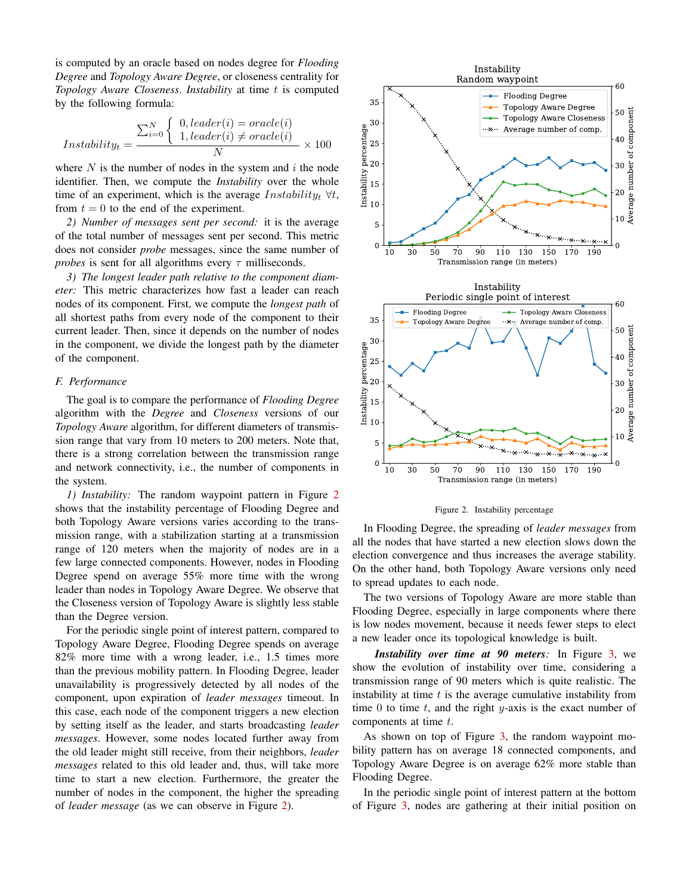is computed by an oracle based on nodes degree for *Flooding Degree* and *Topology Aware Degree*, or closeness centrality for *Topology Aware Closeness. Instability* at time t is computed by the following formula:

$$
Instability_t = \frac{\sum_{i=0}^{N} \begin{cases} 0, leader(i) = oracle(i) \\ 1, leader(i) \neq oracle(i) \end{cases}}{N} \times 100
$$

where  $N$  is the number of nodes in the system and  $i$  the node identifier. Then, we compute the *Instability* over the whole time of an experiment, which is the average  $In stability_t \ \forall t$ , from  $t = 0$  to the end of the experiment.

*2) Number of messages sent per second:* it is the average of the total number of messages sent per second. This metric does not consider *probe* messages, since the same number of *probes* is sent for all algorithms every  $\tau$  milliseconds.

*3) The longest leader path relative to the component diameter:* This metric characterizes how fast a leader can reach nodes of its component. First, we compute the *longest path* of all shortest paths from every node of the component to their current leader. Then, since it depends on the number of nodes in the component, we divide the longest path by the diameter of the component.

#### *F. Performance*

The goal is to compare the performance of *Flooding Degree* algorithm with the *Degree* and *Closeness* versions of our *Topology Aware* algorithm, for different diameters of transmission range that vary from 10 meters to 200 meters. Note that, there is a strong correlation between the transmission range and network connectivity, i.e., the number of components in the system.

*1) Instability:* The random waypoint pattern in Figure [2](#page-6-0) shows that the instability percentage of Flooding Degree and both Topology Aware versions varies according to the transmission range, with a stabilization starting at a transmission range of 120 meters when the majority of nodes are in a few large connected components. However, nodes in Flooding Degree spend on average 55% more time with the wrong leader than nodes in Topology Aware Degree. We observe that the Closeness version of Topology Aware is slightly less stable than the Degree version.

For the periodic single point of interest pattern, compared to Topology Aware Degree, Flooding Degree spends on average 82% more time with a wrong leader, i.e., 1.5 times more than the previous mobility pattern. In Flooding Degree, leader unavailability is progressively detected by all nodes of the component, upon expiration of *leader messages* timeout. In this case, each node of the component triggers a new election by setting itself as the leader, and starts broadcasting *leader messages*. However, some nodes located further away from the old leader might still receive, from their neighbors, *leader messages* related to this old leader and, thus, will take more time to start a new election. Furthermore, the greater the number of nodes in the component, the higher the spreading of *leader message* (as we can observe in Figure [2\)](#page-6-0).



<span id="page-6-0"></span>Figure 2. Instability percentage

In Flooding Degree, the spreading of *leader messages* from all the nodes that have started a new election slows down the election convergence and thus increases the average stability. On the other hand, both Topology Aware versions only need to spread updates to each node.

The two versions of Topology Aware are more stable than Flooding Degree, especially in large components where there is low nodes movement, because it needs fewer steps to elect a new leader once its topological knowledge is built.

*Instability over time at 90 meters:* In Figure [3,](#page-7-0) we show the evolution of instability over time, considering a transmission range of 90 meters which is quite realistic. The instability at time  $t$  is the average cumulative instability from time 0 to time  $t$ , and the right  $y$ -axis is the exact number of components at time t.

As shown on top of Figure [3,](#page-7-0) the random waypoint mobility pattern has on average 18 connected components, and Topology Aware Degree is on average 62% more stable than Flooding Degree.

In the periodic single point of interest pattern at the bottom of Figure [3,](#page-7-0) nodes are gathering at their initial position on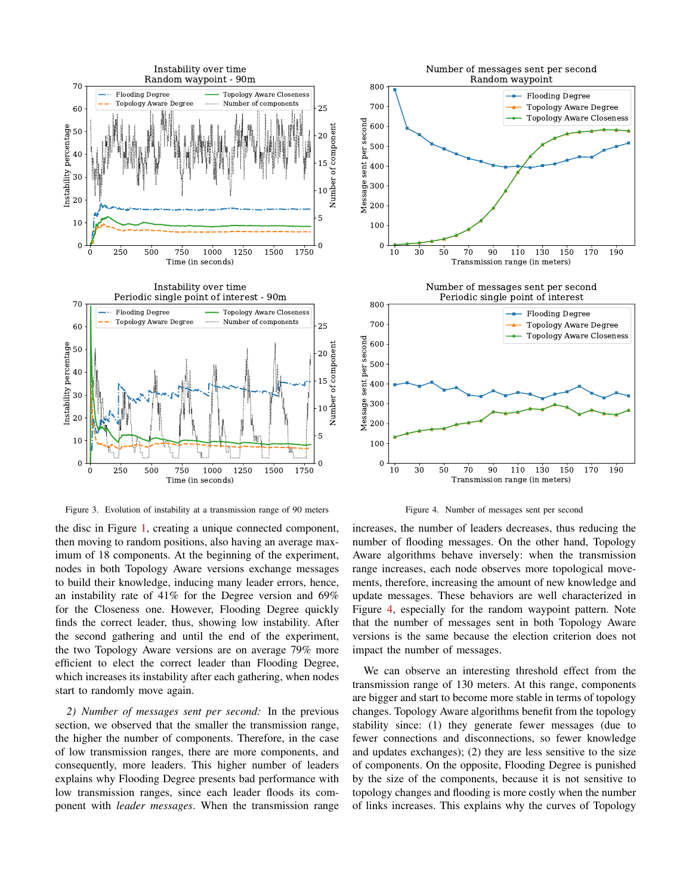

<span id="page-7-0"></span>Figure 3. Evolution of instability at a transmission range of 90 meters

the disc in Figure [1,](#page-5-0) creating a unique connected component, then moving to random positions, also having an average maximum of 18 components. At the beginning of the experiment, nodes in both Topology Aware versions exchange messages to build their knowledge, inducing many leader errors, hence, an instability rate of 41% for the Degree version and 69% for the Closeness one. However, Flooding Degree quickly finds the correct leader, thus, showing low instability. After the second gathering and until the end of the experiment, the two Topology Aware versions are on average 79% more efficient to elect the correct leader than Flooding Degree, which increases its instability after each gathering, when nodes start to randomly move again.

*2) Number of messages sent per second:* In the previous section, we observed that the smaller the transmission range, the higher the number of components. Therefore, in the case of low transmission ranges, there are more components, and consequently, more leaders. This higher number of leaders explains why Flooding Degree presents bad performance with low transmission ranges, since each leader floods its component with *leader messages*. When the transmission range



<span id="page-7-1"></span>Figure 4. Number of messages sent per second

increases, the number of leaders decreases, thus reducing the number of flooding messages. On the other hand, Topology Aware algorithms behave inversely: when the transmission range increases, each node observes more topological movements, therefore, increasing the amount of new knowledge and update messages. These behaviors are well characterized in Figure [4,](#page-7-1) especially for the random waypoint pattern. Note that the number of messages sent in both Topology Aware versions is the same because the election criterion does not impact the number of messages.

We can observe an interesting threshold effect from the transmission range of 130 meters. At this range, components are bigger and start to become more stable in terms of topology changes. Topology Aware algorithms benefit from the topology stability since: (1) they generate fewer messages (due to fewer connections and disconnections, so fewer knowledge and updates exchanges); (2) they are less sensitive to the size of components. On the opposite, Flooding Degree is punished by the size of the components, because it is not sensitive to topology changes and flooding is more costly when the number of links increases. This explains why the curves of Topology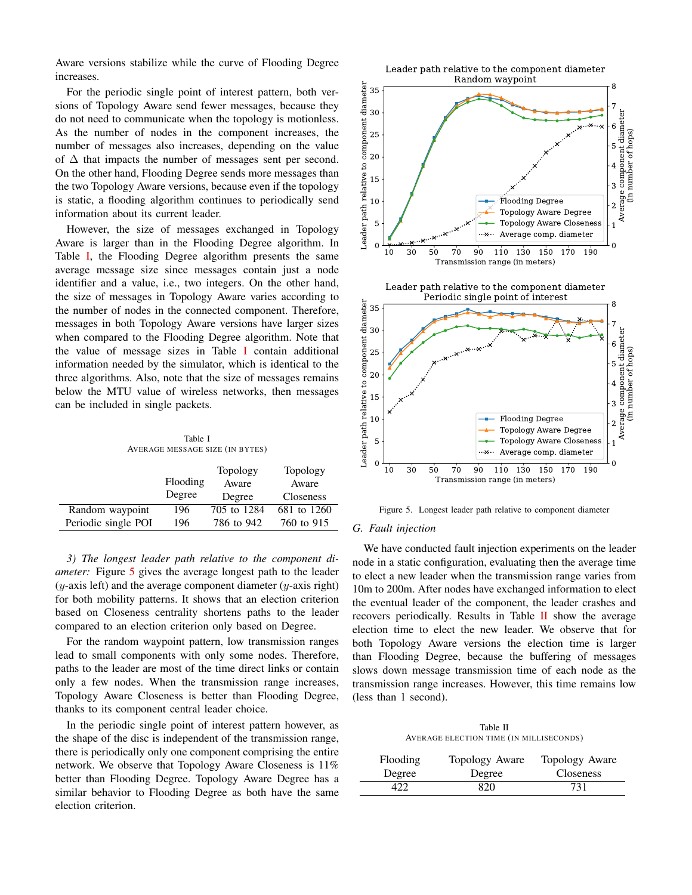Aware versions stabilize while the curve of Flooding Degree increases.

For the periodic single point of interest pattern, both versions of Topology Aware send fewer messages, because they do not need to communicate when the topology is motionless. As the number of nodes in the component increases, the number of messages also increases, depending on the value of  $\Delta$  that impacts the number of messages sent per second. On the other hand, Flooding Degree sends more messages than the two Topology Aware versions, because even if the topology is static, a flooding algorithm continues to periodically send information about its current leader.

However, the size of messages exchanged in Topology Aware is larger than in the Flooding Degree algorithm. In Table [I,](#page-8-0) the Flooding Degree algorithm presents the same average message size since messages contain just a node identifier and a value, i.e., two integers. On the other hand, the size of messages in Topology Aware varies according to the number of nodes in the connected component. Therefore, messages in both Topology Aware versions have larger sizes when compared to the Flooding Degree algorithm. Note that the value of message sizes in Table [I](#page-8-0) contain additional information needed by the simulator, which is identical to the three algorithms. Also, note that the size of messages remains below the MTU value of wireless networks, then messages can be included in single packets.

Table I AVERAGE MESSAGE SIZE (IN BYTES)

<span id="page-8-0"></span>

|                     |          | Topology    | Topology    |
|---------------------|----------|-------------|-------------|
|                     | Flooding | Aware       | Aware       |
|                     | Degree   | Degree      | Closeness   |
| Random waypoint     | 196      | 705 to 1284 | 681 to 1260 |
| Periodic single POI | 196      | 786 to 942  | 760 to 915  |

*3) The longest leader path relative to the component diameter:* Figure [5](#page-8-1) gives the average longest path to the leader  $(y$ -axis left) and the average component diameter  $(y)$ -axis right) for both mobility patterns. It shows that an election criterion based on Closeness centrality shortens paths to the leader compared to an election criterion only based on Degree.

For the random waypoint pattern, low transmission ranges lead to small components with only some nodes. Therefore, paths to the leader are most of the time direct links or contain only a few nodes. When the transmission range increases, Topology Aware Closeness is better than Flooding Degree, thanks to its component central leader choice.

In the periodic single point of interest pattern however, as the shape of the disc is independent of the transmission range, there is periodically only one component comprising the entire network. We observe that Topology Aware Closeness is 11% better than Flooding Degree. Topology Aware Degree has a similar behavior to Flooding Degree as both have the same election criterion.



<span id="page-8-1"></span>Figure 5. Longest leader path relative to component diameter

# *G. Fault injection*

We have conducted fault injection experiments on the leader node in a static configuration, evaluating then the average time to elect a new leader when the transmission range varies from 10m to 200m. After nodes have exchanged information to elect the eventual leader of the component, the leader crashes and recovers periodically. Results in Table [II](#page-8-2) show the average election time to elect the new leader. We observe that for both Topology Aware versions the election time is larger than Flooding Degree, because the buffering of messages slows down message transmission time of each node as the transmission range increases. However, this time remains low (less than 1 second).

Table II AVERAGE ELECTION TIME (IN MILLISECONDS)

<span id="page-8-2"></span>

| <b>Flooding</b> | Topology Aware | Topology Aware   |
|-----------------|----------------|------------------|
| Degree          | Degree         | <b>Closeness</b> |
|                 | 820            | 731              |